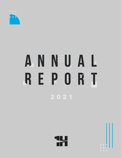

## ANNUAL REPORT 2021



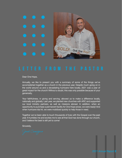

Dear One Hope,

Annually, we like to present you with a summary of some of the things we've accomplished together as a church in the previous year. Despite much going on in the world around us and a devastating hurricane here locally, 2021 was a year of great impact for the church! Without a doubt, this was only possible because of your generosity.

Your faithfulness, in giving and serving, allowed us to make a difference locally, nationally and globally. Last year, we planted new churches with ARC and supported our local ministry partners, as well as missions abroad. In addition, when an opportunity to purchase a permanent facility for One Hope arose, we were ready! And when hurricane Ida hit, we were mobilized quickly to help those in need.

Together we've been able to touch thousands of lives with the Gospel over the past year. It humbles me and excites me to see all that God has done through our church, and I believe the best is still yet to come!

Sincerely,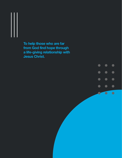**To help those who are far from God find hope through a life-giving relationship with Jesus Christ.**

> $\bullet$  $\bullet$  $\bullet$  $\bullet$  $\bullet$  $\bullet$  $\bullet$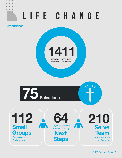# LIFE CHANGE

**Attendance**

a ba





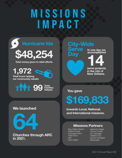### MISSIONS IMPACT





**in 2021.**

### **City-Wide** rve **by Day In one day we accomplished 14**<br> **14**<br> **14**<br> **14**<br> **14**<br> **14**<br> **14**<br> **14**<br> **14**<br> **14**<br> **14**<br> **14**<br> **15**<br> **15**<br> **16**<br> **16**<br> **16**

**in the city of New Orleans.**

**You gave**

**\$169,833**

**towards Local, National, and International missions.**

### **Missions Partners**

*New Orleans Mission Firstline Schools Crossroads NOLA Thrive NOLA ARC Grow Leader*

*Highlands College Convoy of Hope A21 Campaign Children's Cup Domino Foundation Missionaries*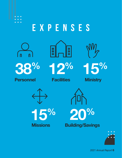

 $\bullet$  $\bullet$ 

### EXPENSES



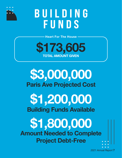

### BUILDING **FUNDS**

**Heart For The House**



### **\$3,000,000 Paris Ave Projected Cost**

**\$1,200,000 Building Funds Available**

**\$1,800,000 Amount Needed to Complete Project Debt-Free**